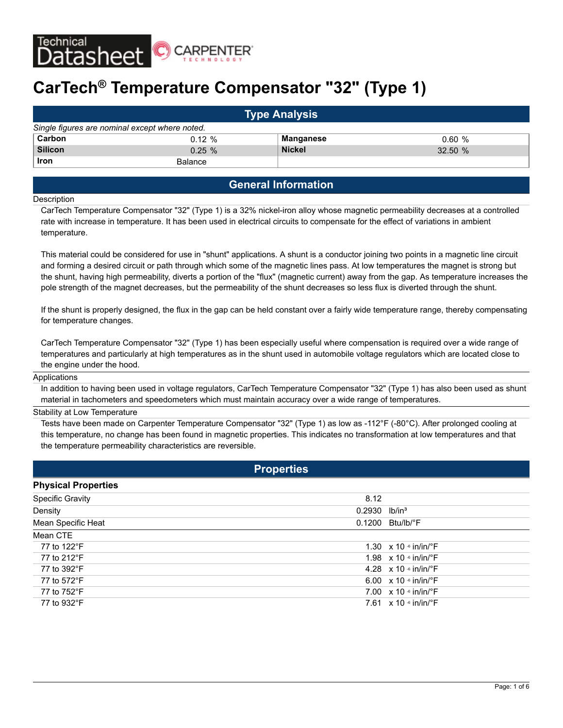

# **CarTech® Temperature Compensator "32" (Type 1)**

| <b>Type Analysis</b>                           |                |               |        |  |  |  |
|------------------------------------------------|----------------|---------------|--------|--|--|--|
| Single figures are nominal except where noted. |                |               |        |  |  |  |
| Carbon                                         | $0.12 \%$      | Manganese     | 0.60%  |  |  |  |
| <b>Silicon</b>                                 | $0.25 \%$      | <b>Nickel</b> | 32.50% |  |  |  |
| <b>Iron</b>                                    | <b>Balance</b> |               |        |  |  |  |

# **General Information**

#### **Description**

CarTech Temperature Compensator "32" (Type 1) is a 32% nickel-iron alloy whose magnetic permeability decreases at a controlled rate with increase in temperature. It has been used in electrical circuits to compensate for the effect of variations in ambient temperature.

This material could be considered for use in "shunt" applications. A shunt is a conductor joining two points in a magnetic line circuit and forming a desired circuit or path through which some of the magnetic lines pass. At low temperatures the magnet is strong but the shunt, having high permeability, diverts a portion of the "flux" (magnetic current) away from the gap. As temperature increases the pole strength of the magnet decreases, but the permeability of the shunt decreases so less flux is diverted through the shunt.

If the shunt is properly designed, the flux in the gap can be held constant over a fairly wide temperature range, thereby compensating for temperature changes.

CarTech Temperature Compensator "32" (Type 1) has been especially useful where compensation is required over a wide range of temperatures and particularly at high temperatures as in the shunt used in automobile voltage regulators which are located close to the engine under the hood.

#### Applications

In addition to having been used in voltage regulators, CarTech Temperature Compensator "32" (Type 1) has also been used as shunt material in tachometers and speedometers which must maintain accuracy over a wide range of temperatures.

#### Stability at Low Temperature

Tests have been made on Carpenter Temperature Compensator "32" (Type 1) as low as -112°F (-80°C). After prolonged cooling at this temperature, no change has been found in magnetic properties. This indicates no transformation at low temperatures and that the temperature permeability characteristics are reversible.

|                            | <b>Properties</b> |                                           |
|----------------------------|-------------------|-------------------------------------------|
| <b>Physical Properties</b> |                   |                                           |
| <b>Specific Gravity</b>    | 8.12              |                                           |
| Density                    | 0.2930            | $lb/in^3$                                 |
| Mean Specific Heat         | 0.1200            | Btu/lb/°F                                 |
| Mean CTE                   |                   |                                           |
| 77 to 122°F                |                   | 1.30 $\times$ 10 $\cdot$ in/in/ $\cdot$ F |
| 77 to 212°F                |                   | 1.98 $\times$ 10 $\cdot$ in/in/ $\cdot$ F |
| 77 to 392°F                |                   | 4.28 $\times$ 10 $\cdot$ in/in/ $\cdot$ F |
| 77 to 572°F                |                   | 6.00 $\times$ 10 $\cdot$ in/in/ $\cdot$ F |
| 77 to 752°F                |                   | 7.00 $\times$ 10 $\cdot$ in/in/ $\cdot$ F |
| 77 to 932°F                |                   | 7.61 $\times$ 10 $\cdot$ in/in/ $\cdot$ F |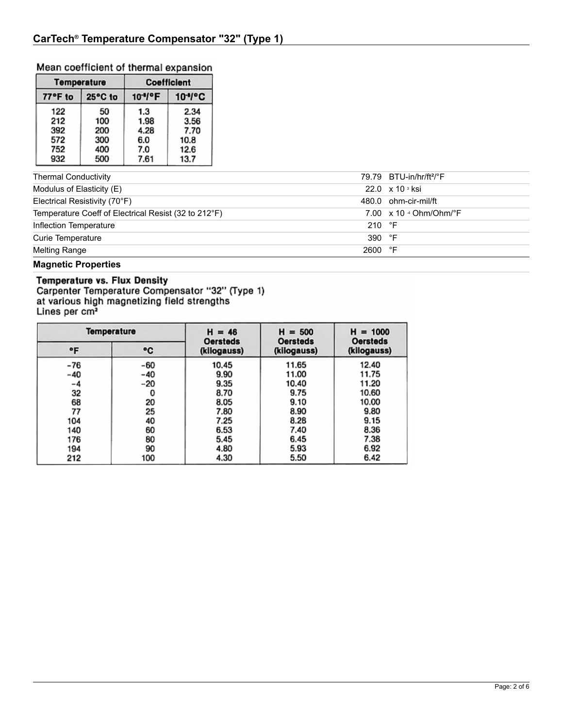## Mean coefficient of thermal expansion

|         | <b>Temperature</b> | <b>Coefficient</b>   |                     |  |
|---------|--------------------|----------------------|---------------------|--|
| 77°F to | 25°C to            | 10 <sup>-1</sup> /°F | 10 <sup>+</sup> /°C |  |
| 122     | 50                 | 1.3                  | 2.34                |  |
| 212     | 100                | 1.98                 | 3.56                |  |
| 392     | 200                | 4.28                 | 7.70                |  |
| 572     | 300                | 6.0                  | 10.8                |  |
| 752     | 400                | 7.0                  | 12.6                |  |
| 932     | 500                | 7.61                 | 13.7                |  |

| <b>Thermal Conductivity</b>                          |                 | 79.79 BTU-in/hr/ft <sup>2</sup> /°F         |
|------------------------------------------------------|-----------------|---------------------------------------------|
| Modulus of Elasticity (E)                            |                 | $22.0 \times 10^{3}$ ksi                    |
| Electrical Resistivity (70°F)                        |                 | 480.0 ohm-cir-mil/ft                        |
| Temperature Coeff of Electrical Resist (32 to 212°F) |                 | 7.00 $\times$ 10 $\cdot$ Ohm/Ohm/ $\cdot$ F |
| Inflection Temperature                               | 210 $\degree$ F |                                             |
| Curie Temperature                                    | 390 °F          |                                             |
| Melting Range                                        | 2600 °F         |                                             |
| -- - - - -                                           |                 |                                             |

Magnetic Properties<br> **Temperature vs. Flux Density**<br>
Carpenter Temperature Compensator "32" (Type 1)<br>
at various high magnetizing field strengths<br>
Lines per cm<sup>2</sup>

| Temperature |     | $H = 46$<br><b>Oersteds</b> | $H = 500$<br><b>Oersteds</b> | $H = 1000$<br><b>Oersteds</b> |  |
|-------------|-----|-----------------------------|------------------------------|-------------------------------|--|
| ۰F          | ۰c  | (kilogauss)                 | (kilogauss)                  | (kilogauss)                   |  |
| $-76$       | -60 | 10.45                       | 11.65                        | 12.40                         |  |
| -40         | -40 | 9.90                        | 11.00                        | 11.75                         |  |
| -4          | -20 | 9.35                        | 10.40                        | 11.20                         |  |
| 32          | 0   | 8.70                        | 9.75                         | 10.60                         |  |
| 68          | 20  | 8.05                        | 9.10                         | 10.00                         |  |
| 77          | 25  | 7.80                        | 8.90                         | 9.80                          |  |
| 104         | 40  | 7.25                        | 8.28                         | 9.15                          |  |
| 140         | 60  | 6.53                        | 7.40                         | 8.36                          |  |
| 176         | 80  | 5.45                        | 6.45                         | 7.38                          |  |
| 194         | 90  | 4.80                        | 5.93                         | 6.92                          |  |
| 212         | 100 | 4.30                        | 5.50                         | 6.42                          |  |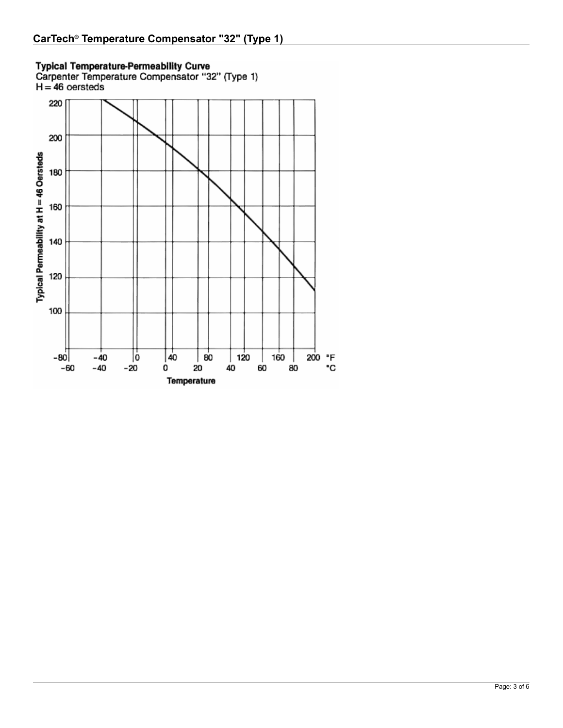

Typical Temperature-Permeability Curve<br>Carpenter Temperature Compensator "32" (Type 1)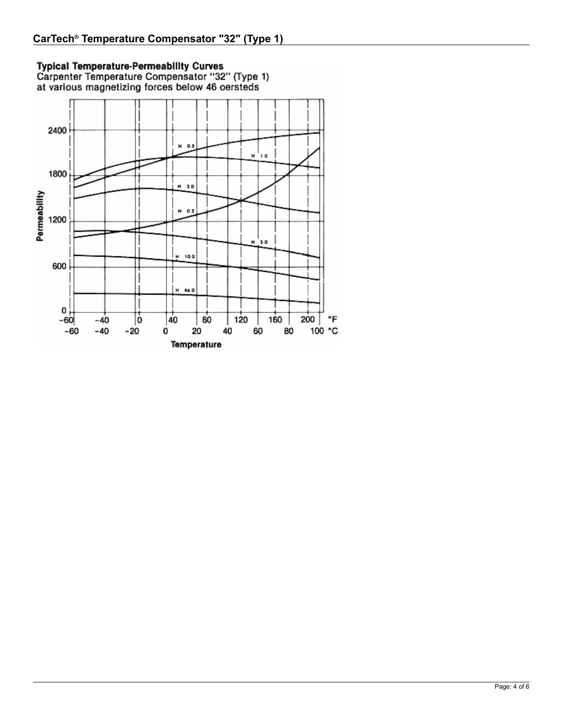Typical Temperature-Permeability Curves<br>Carpenter Temperature Compensator "32" (Type 1)<br>at various magnetizing forces below 46 oersteds

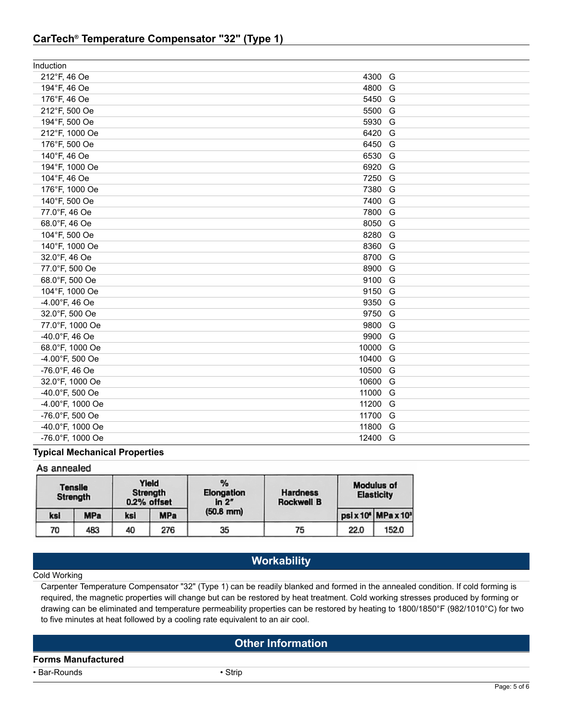# **CarTech® Temperature Compensator "32" (Type 1)**

| Induction        |         |  |
|------------------|---------|--|
| 212°F, 46 Oe     | 4300 G  |  |
| 194°F, 46 Oe     | 4800 G  |  |
| 176°F, 46 Oe     | 5450 G  |  |
| 212°F, 500 Oe    | 5500 G  |  |
| 194°F, 500 Oe    | 5930 G  |  |
| 212°F, 1000 Oe   | 6420 G  |  |
| 176°F, 500 Oe    | 6450 G  |  |
| 140°F, 46 Oe     | 6530 G  |  |
| 194°F, 1000 Oe   | 6920 G  |  |
| 104°F, 46 Oe     | 7250 G  |  |
| 176°F, 1000 Oe   | 7380 G  |  |
| 140°F, 500 Oe    | 7400 G  |  |
| 77.0°F, 46 Oe    | 7800 G  |  |
| 68.0°F, 46 Oe    | 8050 G  |  |
| 104°F, 500 Oe    | 8280 G  |  |
| 140°F, 1000 Oe   | 8360 G  |  |
| 32.0°F, 46 Oe    | 8700 G  |  |
| 77.0°F, 500 Oe   | 8900 G  |  |
| 68.0°F, 500 Oe   | 9100 G  |  |
| 104°F, 1000 Oe   | 9150 G  |  |
| -4.00°F, 46 Oe   | 9350 G  |  |
| 32.0°F, 500 Oe   | 9750 G  |  |
| 77.0°F, 1000 Oe  | 9800 G  |  |
| -40.0°F, 46 Oe   | 9900 G  |  |
| 68.0°F, 1000 Oe  | 10000 G |  |
| -4.00°F, 500 Oe  | 10400 G |  |
| -76.0°F, 46 Oe   | 10500 G |  |
| 32.0°F, 1000 Oe  | 10600 G |  |
| -40.0°F, 500 Oe  | 11000 G |  |
| -4.00°F, 1000 Oe | 11200 G |  |
| -76.0°F, 500 Oe  | 11700 G |  |
| -40.0°F, 1000 Oe | 11800 G |  |
| -76.0°F, 1000 Oe | 12400 G |  |

### **Typical Mechanical Properties**

| As annealed                |            |     |                                  |                                      |                                      |                                        |                   |
|----------------------------|------------|-----|----------------------------------|--------------------------------------|--------------------------------------|----------------------------------------|-------------------|
| <b>Tensile</b><br>Strength |            |     | Yleid<br>Strength<br>0.2% offset | %<br>Elongation<br>ln 2 <sup>r</sup> | <b>Hardness</b><br><b>Rockwell B</b> | <b>Modulus of</b><br><b>Elasticity</b> |                   |
| ksi                        | <b>MPa</b> | ksi | <b>MPa</b>                       | $(50.8$ mm)                          |                                      |                                        | psix 10* MPax 10* |
| 70                         | 483        | 40  | 276                              | 35                                   | 75                                   | 22.0                                   | 152.0             |

# **Workability**

### Cold Working

Carpenter Temperature Compensator "32" (Type 1) can be readily blanked and formed in the annealed condition. If cold forming is required, the magnetic properties will change but can be restored by heat treatment. Cold working stresses produced by forming or drawing can be eliminated and temperature permeability properties can be restored by heating to 1800/1850°F (982/1010°C) for two to five minutes at heat followed by a cooling rate equivalent to an air cool.

# **Other Information**

**Forms Manufactured**

• Bar-Rounds • Strip